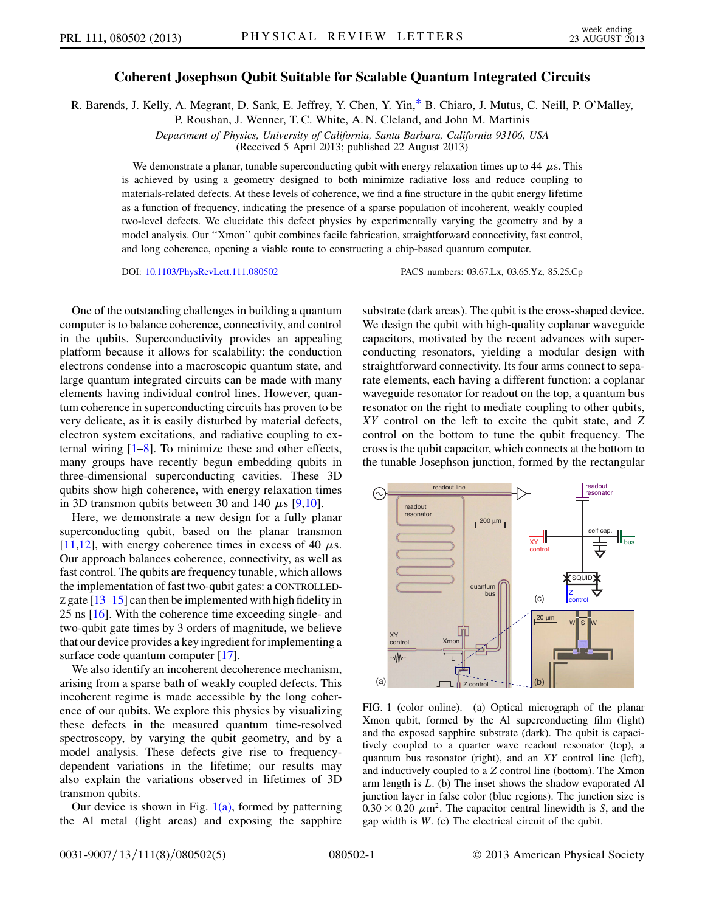## Coherent Josephson Qubit Suitable for Scalable Quantum Integrated Circuits

<span id="page-0-2"></span>R. Barends, J. Kelly, A. Megrant, D. Sank, E. Jeffrey, Y. Chen, Y. Yin[,\\*](#page-3-0) B. Chiaro, J. Mutus, C. Neill, P. O'Malley,

P. Roushan, J. Wenner, T. C. White, A. N. Cleland, and John M. Martinis

Department of Physics, University of California, Santa Barbara, California 93106, USA (Received 5 April 2013; published 22 August 2013)

We demonstrate a planar, tunable superconducting qubit with energy relaxation times up to 44  $\mu$ s. This is achieved by using a geometry designed to both minimize radiative loss and reduce coupling to materials-related defects. At these levels of coherence, we find a fine structure in the qubit energy lifetime as a function of frequency, indicating the presence of a sparse population of incoherent, weakly coupled two-level defects. We elucidate this defect physics by experimentally varying the geometry and by a model analysis. Our ''Xmon'' qubit combines facile fabrication, straightforward connectivity, fast control, and long coherence, opening a viable route to constructing a chip-based quantum computer.

DOI: [10.1103/PhysRevLett.111.080502](http://dx.doi.org/10.1103/PhysRevLett.111.080502) PACS numbers: 03.67.Lx, 03.65.Yz, 85.25.Cp

One of the outstanding challenges in building a quantum computer is to balance coherence, connectivity, and control in the qubits. Superconductivity provides an appealing platform because it allows for scalability: the conduction electrons condense into a macroscopic quantum state, and large quantum integrated circuits can be made with many elements having individual control lines. However, quantum coherence in superconducting circuits has proven to be very delicate, as it is easily disturbed by material defects, electron system excitations, and radiative coupling to external wiring [\[1](#page-3-1)[–8\]](#page-4-0). To minimize these and other effects, many groups have recently begun embedding qubits in three-dimensional superconducting cavities. These 3D qubits show high coherence, with energy relaxation times in 3D transmon qubits between 30 and 140  $\mu$ s [[9](#page-4-1),[10](#page-4-2)].

Here, we demonstrate a new design for a fully planar superconducting qubit, based on the planar transmon [\[11](#page-4-3)[,12\]](#page-4-4), with energy coherence times in excess of 40  $\mu$ s. Our approach balances coherence, connectivity, as well as fast control. The qubits are frequency tunable, which allows the implementation of fast two-qubit gates: a CONTROLLED-Z gate  $[13-15]$  $[13-15]$  can then be implemented with high fidelity in 25 ns [[16](#page-4-7)]. With the coherence time exceeding single- and two-qubit gate times by 3 orders of magnitude, we believe that our device provides a key ingredient for implementing a surface code quantum computer [\[17\]](#page-4-8).

We also identify an incoherent decoherence mechanism, arising from a sparse bath of weakly coupled defects. This incoherent regime is made accessible by the long coherence of our qubits. We explore this physics by visualizing these defects in the measured quantum time-resolved spectroscopy, by varying the qubit geometry, and by a model analysis. These defects give rise to frequencydependent variations in the lifetime; our results may also explain the variations observed in lifetimes of 3D transmon qubits.

Our device is shown in Fig.  $1(a)$ , formed by patterning the Al metal (light areas) and exposing the sapphire substrate (dark areas). The qubit is the cross-shaped device. We design the qubit with high-quality coplanar waveguide capacitors, motivated by the recent advances with superconducting resonators, yielding a modular design with straightforward connectivity. Its four arms connect to separate elements, each having a different function: a coplanar waveguide resonator for readout on the top, a quantum bus resonator on the right to mediate coupling to other qubits, XY control on the left to excite the qubit state, and Z control on the bottom to tune the qubit frequency. The cross is the qubit capacitor, which connects at the bottom to the tunable Josephson junction, formed by the rectangular

<span id="page-0-1"></span>

<span id="page-0-0"></span>FIG. 1 (color online). (a) Optical micrograph of the planar Xmon qubit, formed by the Al superconducting film (light) and the exposed sapphire substrate (dark). The qubit is capacitively coupled to a quarter wave readout resonator (top), a quantum bus resonator (right), and an XY control line (left), and inductively coupled to a Z control line (bottom). The Xmon arm length is L. (b) The inset shows the shadow evaporated Al junction layer in false color (blue regions). The junction size is  $0.30 \times 0.20 \mu m^2$ . The capacitor central linewidth is S, and the gap width is W. (c) The electrical circuit of the qubit.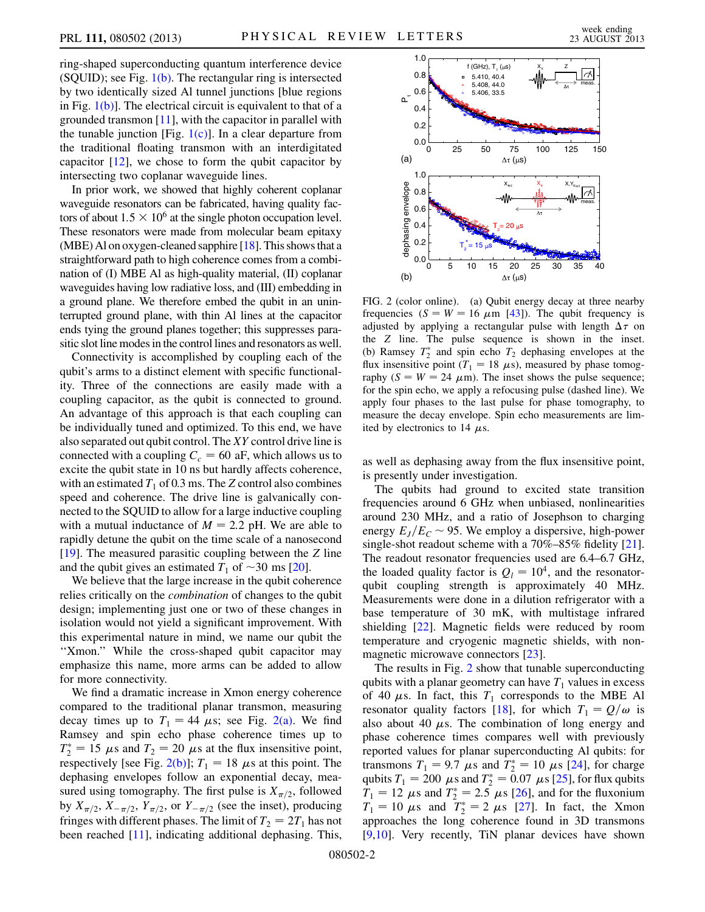ring-shaped superconducting quantum interference device  $(SQUID)$ ; see Fig.  $1(b)$ . The rectangular ring is intersected by two identically sized Al tunnel junctions [blue regions in Fig. [1\(b\)](#page-0-0)]. The electrical circuit is equivalent to that of a grounded transmon [[11\]](#page-4-3), with the capacitor in parallel with the tunable junction [Fig.  $1(c)$ ]. In a clear departure from the traditional floating transmon with an interdigitated capacitor  $[12]$ , we chose to form the qubit capacitor by intersecting two coplanar waveguide lines.

In prior work, we showed that highly coherent coplanar waveguide resonators can be fabricated, having quality factors of about  $1.5 \times 10^6$  at the single photon occupation level. These resonators were made from molecular beam epitaxy (MBE) Al on oxygen-cleaned sapphire  $[18]$ . This shows that a straightforward path to high coherence comes from a combination of (I) MBE Al as high-quality material, (II) coplanar waveguides having low radiative loss, and (III) embedding in a ground plane. We therefore embed the qubit in an uninterrupted ground plane, with thin Al lines at the capacitor ends tying the ground planes together; this suppresses parasitic slot line modes in the control lines and resonators as well.

Connectivity is accomplished by coupling each of the qubit's arms to a distinct element with specific functionality. Three of the connections are easily made with a coupling capacitor, as the qubit is connected to ground. An advantage of this approach is that each coupling can be individually tuned and optimized. To this end, we have also separated out qubit control. The  $XY$  control drive line is connected with a coupling  $C_c = 60$  aF, which allows us to excite the qubit state in 10 ns but hardly affects coherence, with an estimated  $T_1$  of 0.3 ms. The Z control also combines speed and coherence. The drive line is galvanically connected to the SQUID to allow for a large inductive coupling with a mutual inductance of  $M = 2.2$  pH. We are able to rapidly detune the qubit on the time scale of a nanosecond [\[19\]](#page-4-10). The measured parasitic coupling between the Z line and the qubit gives an estimated  $T_1$  of  $\sim$ 30 ms [\[20\]](#page-4-11).

We believe that the large increase in the qubit coherence relies critically on the combination of changes to the qubit design; implementing just one or two of these changes in isolation would not yield a significant improvement. With this experimental nature in mind, we name our qubit the ''Xmon.'' While the cross-shaped qubit capacitor may emphasize this name, more arms can be added to allow for more connectivity.

We find a dramatic increase in Xmon energy coherence compared to the traditional planar transmon, measuring decay times up to  $T_1 = 44 \mu s$ ; see Fig. [2\(a\)](#page-1-0). We find Ramsey and spin echo phase coherence times up to  $T_2^* = 15 \mu s$  and  $T_2 = 20 \mu s$  at the flux insensitive point, respectively [see Fig. [2\(b\)\]](#page-1-0);  $T_1 = 18 \mu s$  at this point. The dephasing envelopes follow an exponential decay, measured using tomography. The first pulse is  $X_{\pi/2}$ , followed by  $X_{\pi/2}$ ,  $X_{-\pi/2}$ ,  $Y_{\pi/2}$ , or  $Y_{-\pi/2}$  (see the inset), producing fringes with different phases. The limit of  $T_2 = 2T_1$  has not been reached [\[11\]](#page-4-3), indicating additional dephasing. This,

<span id="page-1-1"></span>

<span id="page-1-0"></span>FIG. 2 (color online). (a) Qubit energy decay at three nearby frequencies ( $S = W = 16 \mu m$  [[43](#page-4-19)]). The qubit frequency is adjusted by applying a rectangular pulse with length  $\Delta \tau$  on the Z line. The pulse sequence is shown in the inset. (b) Ramsey  $T_2^*$  and spin echo  $T_2$  dephasing envelopes at the flux insensitive point ( $T_1 = 18 \mu s$ ), measured by phase tomography ( $S = W = 24 \mu m$ ). The inset shows the pulse sequence; for the spin echo, we apply a refocusing pulse (dashed line). We apply four phases to the last pulse for phase tomography, to measure the decay envelope. Spin echo measurements are limited by electronics to 14  $\mu$ s.

as well as dephasing away from the flux insensitive point, is presently under investigation.

The qubits had ground to excited state transition frequencies around 6 GHz when unbiased, nonlinearities around 230 MHz, and a ratio of Josephson to charging energy  $E_J/E_C \sim 95$ . We employ a dispersive, high-power single-shot readout scheme with a 70%–85% fidelity [[21\]](#page-4-12). The readout resonator frequencies used are 6.4–6.7 GHz, the loaded quality factor is  $Q_l = 10^4$ , and the resonatorqubit coupling strength is approximately 40 MHz. Measurements were done in a dilution refrigerator with a base temperature of 30 mK, with multistage infrared shielding [\[22\]](#page-4-13). Magnetic fields were reduced by room temperature and cryogenic magnetic shields, with nonmagnetic microwave connectors [[23](#page-4-14)].

The results in Fig. [2](#page-1-1) show that tunable superconducting qubits with a planar geometry can have  $T_1$  values in excess of 40  $\mu$ s. In fact, this  $T_1$  corresponds to the MBE Al resonator quality factors [\[18\]](#page-4-9), for which  $T_1 = Q/\omega$  is also about 40  $\mu$ s. The combination of long energy and phase coherence times compares well with previously reported values for planar superconducting Al qubits: for transmons  $T_1 = 9.7 \mu s$  and  $T_2^* = 10 \mu s$  [\[24](#page-4-15)], for charge qubits  $T_1 = 200 \mu s$  and  $T_2^* = 0.07 \mu s$  [[25](#page-4-16)], for flux qubits  $T_1 = 12 \mu s$  and  $T_2^* = 2.5 \mu s$  [[26](#page-4-17)], and for the fluxonium  $T_1 = 10 \mu s$  and  $T_2^* = 2 \mu s$  [[27](#page-4-18)]. In fact, the Xmon approaches the long coherence found in 3D transmons [\[9,](#page-4-1)[10\]](#page-4-2). Very recently, TiN planar devices have shown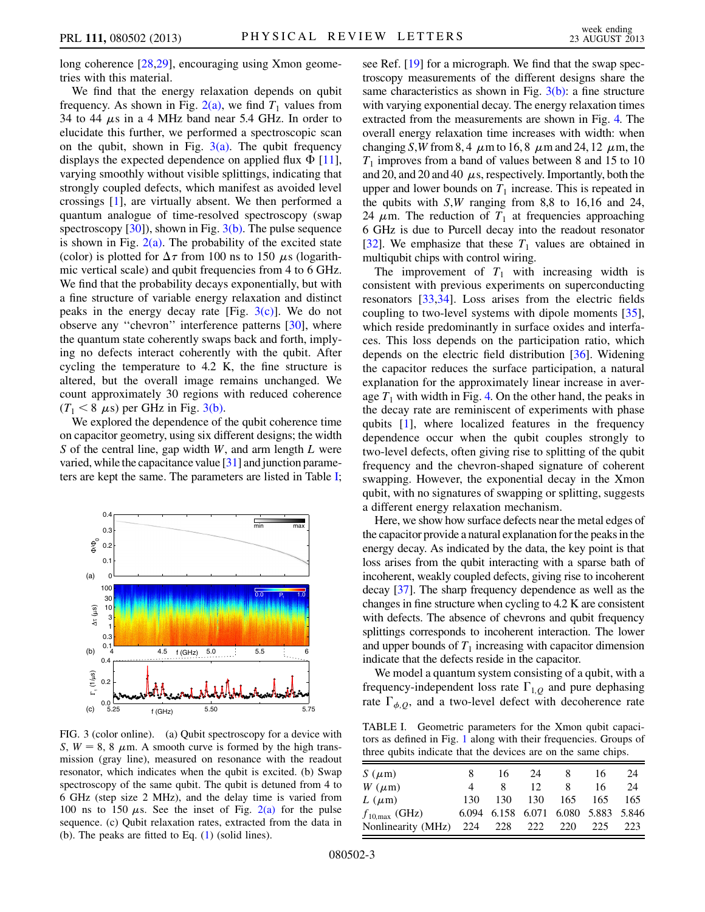long coherence [[28](#page-4-20),[29](#page-4-21)], encouraging using Xmon geometries with this material.

We find that the energy relaxation depends on qubit frequency. As shown in Fig.  $2(a)$ , we find  $T_1$  values from 34 to 44  $\mu$ s in a 4 MHz band near 5.4 GHz. In order to elucidate this further, we performed a spectroscopic scan on the qubit, shown in Fig.  $3(a)$ . The qubit frequency displays the expected dependence on applied flux  $\Phi$  [\[11\]](#page-4-3), varying smoothly without visible splittings, indicating that strongly coupled defects, which manifest as avoided level crossings [\[1\]](#page-3-1), are virtually absent. We then performed a quantum analogue of time-resolved spectroscopy (swap spectroscopy  $[30]$ , shown in Fig.  $3(b)$ . The pulse sequence is shown in Fig.  $2(a)$ . The probability of the excited state (color) is plotted for  $\Delta \tau$  from 100 ns to 150  $\mu$ s (logarithmic vertical scale) and qubit frequencies from 4 to 6 GHz. We find that the probability decays exponentially, but with a fine structure of variable energy relaxation and distinct peaks in the energy decay rate [Fig.  $3(c)$ ]. We do not observe any ''chevron'' interference patterns [\[30\]](#page-4-22), where the quantum state coherently swaps back and forth, implying no defects interact coherently with the qubit. After cycling the temperature to 4.2 K, the fine structure is altered, but the overall image remains unchanged. We count approximately 30 regions with reduced coherence  $(T_1 < 8 \mu s)$  per GHz in Fig. [3\(b\).](#page-2-0)

We explored the dependence of the qubit coherence time on capacitor geometry, using six different designs; the width S of the central line, gap width  $W$ , and arm length  $L$  were varied, while the capacitance value [\[31\]](#page-4-23) and junction parameters are kept the same. The parameters are listed in Table [I](#page-2-1);

<span id="page-2-2"></span>

<span id="page-2-0"></span>FIG. 3 (color online). (a) Qubit spectroscopy for a device with S,  $W = 8$ , 8  $\mu$ m. A smooth curve is formed by the high transmission (gray line), measured on resonance with the readout resonator, which indicates when the qubit is excited. (b) Swap spectroscopy of the same qubit. The qubit is detuned from 4 to 6 GHz (step size 2 MHz), and the delay time is varied from 100 ns to 150  $\mu$ s. See the inset of Fig. [2\(a\)](#page-1-0) for the pulse sequence. (c) Qubit relaxation rates, extracted from the data in (b). The peaks are fitted to Eq. ([1](#page-3-3)) (solid lines).

see Ref. [\[19\]](#page-4-10) for a micrograph. We find that the swap spectroscopy measurements of the different designs share the same characteristics as shown in Fig.  $3(b)$ : a fine structure with varying exponential decay. The energy relaxation times extracted from the measurements are shown in Fig. [4.](#page-3-2) The overall energy relaxation time increases with width: when changing S,W from 8,4  $\mu$ m to 16,8  $\mu$ m and 24, 12  $\mu$ m, the  $T_1$  improves from a band of values between 8 and 15 to 10 and 20, and 20 and 40  $\mu$ s, respectively. Importantly, both the upper and lower bounds on  $T_1$  increase. This is repeated in the qubits with S,W ranging from 8,8 to 16,16 and 24, 24  $\mu$ m. The reduction of  $T_1$  at frequencies approaching 6 GHz is due to Purcell decay into the readout resonator [\[32\]](#page-4-24). We emphasize that these  $T_1$  values are obtained in multiqubit chips with control wiring.

The improvement of  $T_1$  with increasing width is consistent with previous experiments on superconducting resonators [[33](#page-4-25)[,34](#page-4-26)]. Loss arises from the electric fields coupling to two-level systems with dipole moments [[35\]](#page-4-27), which reside predominantly in surface oxides and interfaces. This loss depends on the participation ratio, which depends on the electric field distribution [\[36\]](#page-4-28). Widening the capacitor reduces the surface participation, a natural explanation for the approximately linear increase in average  $T_1$  with width in Fig. [4.](#page-3-2) On the other hand, the peaks in the decay rate are reminiscent of experiments with phase qubits [\[1\]](#page-3-1), where localized features in the frequency dependence occur when the qubit couples strongly to two-level defects, often giving rise to splitting of the qubit frequency and the chevron-shaped signature of coherent swapping. However, the exponential decay in the Xmon qubit, with no signatures of swapping or splitting, suggests a different energy relaxation mechanism.

Here, we show how surface defects near the metal edges of the capacitor provide a natural explanation for the peaks in the energy decay. As indicated by the data, the key point is that loss arises from the qubit interacting with a sparse bath of incoherent, weakly coupled defects, giving rise to incoherent decay [\[37](#page-4-29)]. The sharp frequency dependence as well as the changes in fine structure when cycling to 4.2 K are consistent with defects. The absence of chevrons and qubit frequency splittings corresponds to incoherent interaction. The lower and upper bounds of  $T_1$  increasing with capacitor dimension indicate that the defects reside in the capacitor.

We model a quantum system consisting of a qubit, with a frequency-independent loss rate  $\Gamma_{1,Q}$  and pure dephasing rate  $\Gamma_{\phi, Q}$ , and a two-level defect with decoherence rate

<span id="page-2-1"></span>TABLE I. Geometric parameters for the Xmon qubit capacitors as defined in Fig. [1](#page-0-1) along with their frequencies. Groups of three qubits indicate that the devices are on the same chips.

| $S(\mu m)$                |     | 16. | 24  | 8                                   | 16  | 24  |
|---------------------------|-----|-----|-----|-------------------------------------|-----|-----|
| $W(\mu m)$                |     | 8.  | 12  |                                     | 16  | 24  |
| $L(\mu m)$                | 130 | 130 | 130 | 165                                 | 165 | 165 |
| $f_{10,\text{max}}$ (GHz) |     |     |     | 6.094 6.158 6.071 6.080 5.883 5.846 |     |     |
| Nonlinearity (MHz)        |     |     |     | 224 228 222 220 225                 |     | 223 |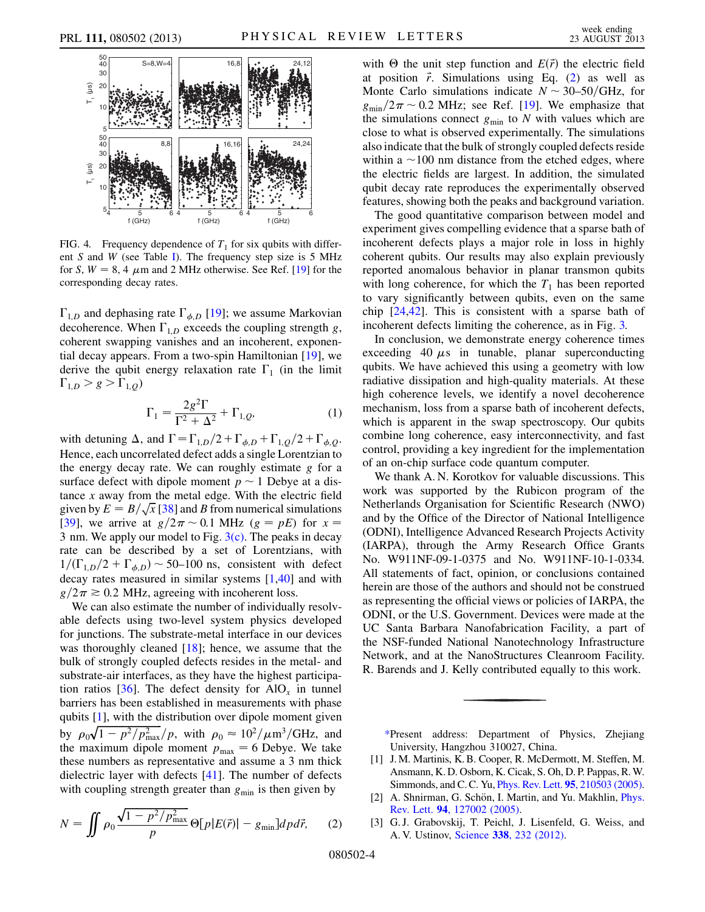<span id="page-3-2"></span>

FIG. 4. Frequency dependence of  $T_1$  for six qubits with different  $S$  and  $W$  (see Table [I\)](#page-2-1). The frequency step size is  $5$  MHz for S,  $W = 8$ , 4  $\mu$ m and 2 MHz otherwise. See Ref. [[19](#page-4-10)] for the corresponding decay rates.

 $\Gamma_{1,D}$  and dephasing rate  $\Gamma_{\phi,D}$  [\[19\]](#page-4-10); we assume Markovian decoherence. When  $\Gamma_{1,D}$  exceeds the coupling strength g, coherent swapping vanishes and an incoherent, exponential decay appears. From a two-spin Hamiltonian [\[19\]](#page-4-10), we derive the qubit energy relaxation rate  $\Gamma_1$  (in the limit  $\Gamma_{1,D} > g > \Gamma_{1,Q}$ 

$$
\Gamma_1 = \frac{2g^2 \Gamma}{\Gamma^2 + \Delta^2} + \Gamma_{1,Q},\tag{1}
$$

<span id="page-3-3"></span>with detuning  $\Delta$ , and  $\Gamma = \Gamma_{1,D}/2 + \Gamma_{\phi,D} + \Gamma_{1,Q}/2 + \Gamma_{\phi,O}$ . Hence, each uncorrelated defect adds a single Lorentzian to the energy decay rate. We can roughly estimate  $g$  for a surface defect with dipole moment  $p \sim 1$  Debye at a distance  $x$  away from the metal edge. With the electric field tance x away from the metal edge. With the electric field<br>given by  $E = B/\sqrt{x}$  [[38](#page-4-30)] and B from numerical simulations [\[39\]](#page-4-31), we arrive at  $g/2\pi \sim 0.1$  MHz ( $g = pE$ ) for  $x =$ 3 nm. We apply our model to Fig.  $3(c)$ . The peaks in decay rate can be described by a set of Lorentzians, with  $1/(\Gamma_{1,D}/2 + \Gamma_{\phi,D}) \sim 50$ –100 ns, consistent with defect decay rates measured in similar systems [[1,](#page-3-1)[40\]](#page-4-32) and with  $g/2\pi \ge 0.2$  MHz, agreeing with incoherent loss.

We can also estimate the number of individually resolvable defects using two-level system physics developed for junctions. The substrate-metal interface in our devices was thoroughly cleaned  $[18]$  $[18]$  $[18]$ ; hence, we assume that the bulk of strongly coupled defects resides in the metal- and substrate-air interfaces, as they have the highest participa-tion ratios [[36](#page-4-28)]. The defect density for  $AIO<sub>r</sub>$  in tunnel barriers has been established in measurements with phase qubits  $[1]$  $[1]$  $[1]$ , with the distribution over dipole moment given by  $\rho_0\sqrt{1-p^2/p_{\text{max}}^2}/p$ , with  $\rho_0 \approx 10^2/\mu \text{m}^3/\text{GHz}$ , and the maximum dipole moment  $p_{\text{max}} = 6$  Debye. We take these numbers as representative and assume a 3 nm thick dielectric layer with defects [[41](#page-4-33)]. The number of defects with coupling strength greater than  $g_{\text{min}}$  is then given by

<span id="page-3-4"></span>
$$
N = \iint \rho_0 \frac{\sqrt{1 - p^2/p_{\text{max}}^2}}{p} \Theta[p|E(\vec{r})| - g_{\text{min}}] dp d\vec{r}, \qquad (2)
$$

with  $\Theta$  the unit step function and  $E(\vec{r})$  the electric field at position  $\vec{r}$ . Simulations using Eq. [\(2](#page-3-4)) as well as Monte Carlo simulations indicate  $N \sim 30-50/\text{GHz}$ , for  $g_{\text{min}}/2\pi \sim 0.2$  MHz; see Ref. [[19\]](#page-4-10). We emphasize that the simulations connect  $g_{\text{min}}$  to N with values which are close to what is observed experimentally. The simulations also indicate that the bulk of strongly coupled defects reside within a  $\sim$ 100 nm distance from the etched edges, where the electric fields are largest. In addition, the simulated qubit decay rate reproduces the experimentally observed features, showing both the peaks and background variation.

The good quantitative comparison between model and experiment gives compelling evidence that a sparse bath of incoherent defects plays a major role in loss in highly coherent qubits. Our results may also explain previously reported anomalous behavior in planar transmon qubits with long coherence, for which the  $T_1$  has been reported to vary significantly between qubits, even on the same chip [\[24,](#page-4-15)[42\]](#page-4-34). This is consistent with a sparse bath of incoherent defects limiting the coherence, as in Fig. [3.](#page-2-2)

In conclusion, we demonstrate energy coherence times exceeding 40  $\mu$ s in tunable, planar superconducting qubits. We have achieved this using a geometry with low radiative dissipation and high-quality materials. At these high coherence levels, we identify a novel decoherence mechanism, loss from a sparse bath of incoherent defects, which is apparent in the swap spectroscopy. Our qubits combine long coherence, easy interconnectivity, and fast control, providing a key ingredient for the implementation of an on-chip surface code quantum computer.

We thank A. N. Korotkov for valuable discussions. This work was supported by the Rubicon program of the Netherlands Organisation for Scientific Research (NWO) and by the Office of the Director of National Intelligence (ODNI), Intelligence Advanced Research Projects Activity (IARPA), through the Army Research Office Grants No. W911NF-09-1-0375 and No. W911NF-10-1-0334. All statements of fact, opinion, or conclusions contained herein are those of the authors and should not be construed as representing the official views or policies of IARPA, the ODNI, or the U.S. Government. Devices were made at the UC Santa Barbara Nanofabrication Facility, a part of the NSF-funded National Nanotechnology Infrastructure Network, and at the NanoStructures Cleanroom Facility. R. Barends and J. Kelly contributed equally to this work.

<span id="page-3-0"></span>[\\*P](#page-0-2)resent address: Department of Physics, Zhejiang University, Hangzhou 310027, China.

- <span id="page-3-1"></span>[1] J. M. Martinis, K. B. Cooper, R. McDermott, M. Steffen, M. Ansmann, K. D. Osborn, K. Cicak, S. Oh, D. P. Pappas, R.W. Simmonds, and C. C. Yu, Phys. Rev. Lett. 95[, 210503 \(2005\).](http://dx.doi.org/10.1103/PhysRevLett.95.210503)
- [2] A. Shnirman, G. Schön, I. Martin, and Yu. Makhlin, *[Phys.](http://dx.doi.org/10.1103/PhysRevLett.94.127002)* Rev. Lett. 94[, 127002 \(2005\)](http://dx.doi.org/10.1103/PhysRevLett.94.127002).
- [3] G. J. Grabovskij, T. Peichl, J. Lisenfeld, G. Weiss, and A. V. Ustinov, Science 338[, 232 \(2012\).](http://dx.doi.org/10.1126/science.1226487)